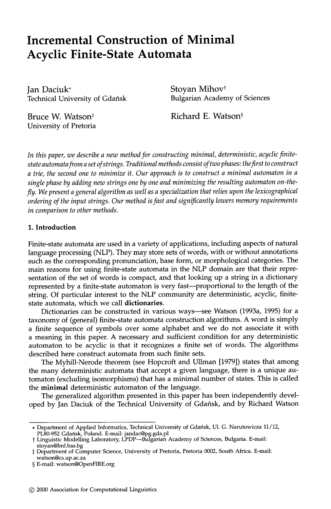# **Incremental Construction of Minimal Acyclic Finite-State Automata**

Jan Daciuk\* Technical University of Gdafisk Stoyan Mihov<sup>†</sup> Bulgarian Academy of Sciences

Bruce W. Watson $<sup>‡</sup>$ </sup> University of Pretoria Richard E. Watson<sup>§</sup>

*In this paper, we describe a new method for constructing minimal, deterministic, acyclic finitestate automata from a set of strings. Traditional methods consist of two phases: the first to construct a trie, the second one to minimize it. Our approach is to construct a minimal automaton in a single phase by adding new strings one by one and minimizing the resulting automaton on-thefly. We present a general algorithm as well as a specialization that relies upon the lexicographical ordering of the input strings. Our method is fast and significantly lowers memory requirements in comparison to other methods.* 

## **1. Introduction**

Finite-state automata are used in a variety of applications, including aspects of natural language processing (NLP). They may store sets of words, with or without annotations such as the corresponding pronunciation, base form, or morphological categories. The main reasons for using finite-state automata in the NLP domain are that their representation of the set of words is compact, and that looking up a string in a dictionary represented by a finite-state automaton is very fast—proportional to the length of the string. Of particular interest to the NLP community are deterministic, acyclic, finitestate automata, which we call **dictionaries.** 

Dictionaries can be constructed in various ways-see Watson (1993a, 1995) for a taxonomy of (general) finite-state automata construction algorithms. A word is simply a finite sequence of symbols over some alphabet and we do not associate it with a meaning in this paper. A necessary and sufficient condition for any deterministic automaton to be acyclic is that it recognizes a finite set of words. The algorithms described here construct automata from such finite sets.

The Myhill-Nerode theorem (see Hopcroft and Ullman [1979]) states that among the many deterministic automata that accept a given language, there is a unique automaton (excluding isomorphisms) that has a minimal number of states. This is called the **minimal** deterministic automaton of the language.

The generalized algorithm presented in this paper has been independently developed by Jan Daciuk of the Technical University of Gdafisk, and by Richard Watson

<sup>•</sup> Department of Applied Informatics, Technical University of Gdafisk, U1. G. Narutowicza 11/12,

PL80-952 Gdafisk, Poland. E-mail: jandac@pg.gda.pl Linguistic Modelling Laboratory, LPDP--Bulgarian Academy of Sciences, Bulgaria. E-mail: stoyan@lml.bas.bg

 $\ddagger$  Department of Computer Science, University of Pretoria, Pretoria 0002, South Africa. E-mail: watson@cs.up.ac.za

<sup>§</sup> E-mail: watson@OpenFIRE.org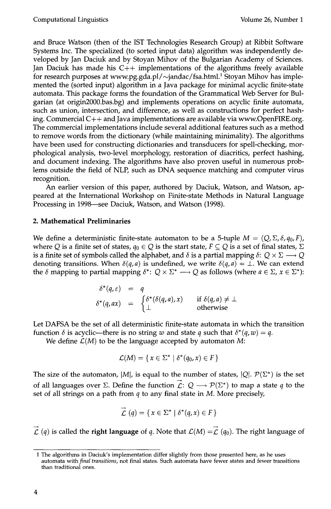and Bruce Watson (then of the IST Technologies Research Group) at Ribbit Software Systems Inc. The specialized (to sorted input data) algorithm was independently developed by Jan Daciuk and by Stoyan Mihov of the Bulgarian Academy of Sciences. Jan Daciuk has made his  $C++$  implementations of the algorithms freely available for research purposes at www.pg.gda.pl/ $\sim$ jandac/fsa.html.<sup>1</sup> Stoyan Mihov has implemented the (sorted input) algorithm in a Java package for minimal acyclic finite-state automata. This package forms the foundation of the Grammatical Web Server for Bulgarian (at origin2000.bas.bg) and implements operations on acyclic finite automata, such as union, intersection, and difference, as well as constructions for perfect hashing. Commercial C++ and Java implementations are available via www.OpenFIRE.org. The commercial implementations include several additional features such as a method to remove words from the dictionary (while maintaining minimality). The algorithms have been used for constructing dictionaries and transducers for spell-checking, morphological analysis, two-level morphology, restoration of diacritics, perfect hashing, and document indexing. The algorithms have also proven useful in numerous problems outside the field of NLP, such as DNA sequence matching and computer virus recognition.

An earlier version of this paper, authored by Daciuk, Watson, and Watson, appeared at the International Workshop on Finite-state Methods in Natural Language Processing in 1998—see Daciuk, Watson, and Watson (1998).

# **2. Mathematical Preliminaries**

We define a deterministic finite-state automaton to be a 5-tuple  $M = (Q, \Sigma, \delta, q_0, F)$ , where Q is a finite set of states,  $q_0 \in Q$  is the start state,  $F \subseteq Q$  is a set of final states,  $\Sigma$ is a finite set of symbols called the alphabet, and  $\delta$  is a partial mapping  $\delta: Q \times \Sigma \longrightarrow Q$ denoting transitions. When  $\delta(q, a)$  is undefined, we write  $\delta(q, a) = \perp$ . We can extend the  $\delta$  mapping to partial mapping  $\delta^* \colon Q \times \Sigma^* \longrightarrow Q$  as follows (where  $a \in \Sigma$ ,  $x \in \Sigma^*$ ):

$$
\begin{array}{rcl}\n\delta^*(q,\varepsilon) & = & q \\
\delta^*(q,ax) & = & \begin{cases}\n\delta^*(\delta(q,a),x) & \text{if } \delta(q,a) \neq \bot \\
\bot & \text{otherwise}\n\end{cases}\n\end{array}
$$

Let DAFSA be the set of all deterministic finite-state automata in which the transition function  $\delta$  is acyclic—there is no string w and state q such that  $\delta^*(q, w) = q$ .

We define  $\mathcal{L}(M)$  to be the language accepted by automaton M:

$$
\mathcal{L}(M) = \{ \, x \in \Sigma^* \mid \delta^*(q_0, x) \in F \, \}
$$

The size of the automaton,  $|M|$ , is equal to the number of states,  $|Q|$ .  $\mathcal{P}(\Sigma^*)$  is the set of all languages over  $\Sigma$ . Define the function  $\vec{\mathcal{L}}: Q \longrightarrow \mathcal{P}(\Sigma^*)$  to map a state q to the set of all strings on a path from  $q$  to any final state in  $M$ . More precisely,

$$
\vec{\mathcal{L}}(q) = \{ x \in \Sigma^* \mid \delta^*(q, x) \in F \}
$$

 $\vec{\mathcal{L}}$  (q) is called the **right language** of q. Note that  $\mathcal{L}(M) = \vec{\mathcal{L}}$  (q<sub>0</sub>). The right language of

<sup>1</sup> The algorithms in Daciuk's implementation differ slightly from those presented here, as he uses automata *with final transitions,* not final states. Such automata have fewer states and fewer transitions than traditional ones.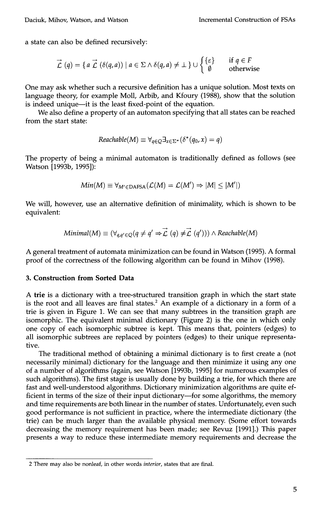a state can also be defined recursively:

$$
\vec{\mathcal{L}}(q) = \{ a \; \vec{\mathcal{L}} \; (\delta(q,a)) \; | \; a \in \Sigma \land \delta(q,a) \neq \bot \} \cup \left\{ \begin{matrix} \{\varepsilon\} & \text{if } q \in F \\ \emptyset & \text{otherwise} \end{matrix} \right.
$$

One may ask whether such a recursive definition has a unique solution. Most texts on language theory, for example Moll, Arbib, and Kfoury (1988), show that the solution is indeed unique--it is the least fixed-point of the equation.

We also define a property of an automaton specifying that all states can be reached from the start state:

$$
Reachable(M) \equiv \forall_{q \in Q} \exists_{x \in \Sigma^*} (\delta^*(q_0, x) = q)
$$

The property of being a minimal automaton is traditionally defined as follows (see Watson [1993b, 1995]):

$$
Min(M) \equiv \forall_{M' \in \text{DAFSA}} (\mathcal{L}(M) = \mathcal{L}(M') \Rightarrow |M| \le |M'|)
$$

We will, however, use an alternative definition of minimality, which is shown to be equivalent:

$$
Minimal(M) \equiv (\forall_{q,q' \in Q} (q \neq q' \Rightarrow \vec{\mathcal{L}} (q) \neq \vec{\mathcal{L}} (q')) ) \land Readhable(M)
$$

A general treatment of automata minimization can be found in Watson (1995). A formal proof of the correctness of the following algorithm can be found in Mihov (1998).

# **3. Construction from Sorted Data**

A trie is a dictionary with a tree-structured transition graph in which the start state is the root and all leaves are final states.<sup>2</sup> An example of a dictionary in a form of a trie is given in Figure 1. We can see that many subtrees in the transition graph are isomorphic. The equivalent minimal dictionary (Figure 2) is the one in which only one copy of each isomorphic subtree is kept. This means that, pointers (edges) to all isomorphic subtrees are replaced by pointers (edges) to their unique representative.

The traditional method of obtaining a minimal dictionary is to first create a (not necessarily minimal) dictionary for the language and then minimize it using any one of a number of algorithms (again, see Watson [1993b, 1995] for numerous examples of such algorithms). The first stage is usually done by building a trie, for which there are fast and well-understood algorithms. Dictionary minimization algorithms are quite efficient in terms of the size of their input dictionary—for some algorithms, the memory and time requirements are both linear in the number of states. Unfortunately, even such good performance is not sufficient in practice, where the intermediate dictionary (the trie) can be much larger than the available physical memory. (Some effort towards decreasing the memory requirement has been made; see Revuz [1991].) This paper presents a way to reduce these intermediate memory requirements and decrease the

<sup>2</sup> There may also be nonleaf, in other words *interior,* states that are final.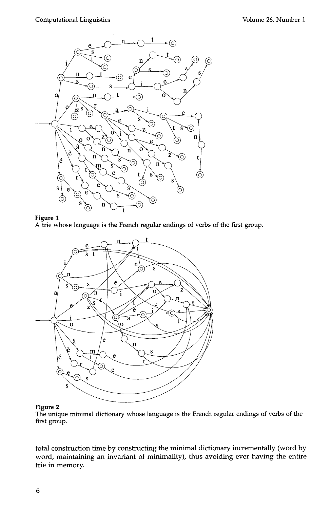

## **Figure 1**

A trie whose language is the French regular endings of verbs of the first group.



## **Figure 2**

The unique minimal dictionary whose language is the French regular endings of verbs of the first group.

total construction time by constructing the minimal dictionary incrementally (word by word, maintaining an invariant of minimality), thus avoiding ever having the entire trie in memory.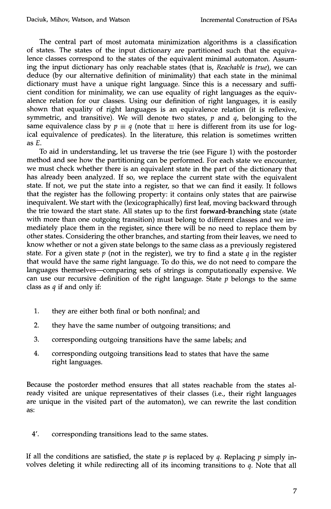The central part of most automata minimization algorithms is a classification of states. The states of the input dictionary are partitioned such that the equivalence classes correspond to the states of the equivalent minimal automaton. Assuming the input dictionary has only reachable states (that is, *Reachable* is *true),* we can deduce (by our alternative definition of minimality) that each state in the minimal dictionary must have a unique right language. Since this is a necessary and sufficient condition for minimality, we can use equality of right languages as the equivalence relation for our classes. Using our definition of right languages, it is easily shown that equality of right languages is an equivalence relation (it is reflexive, symmetric, and transitive). We will denote two states,  $p$  and  $q$ , belonging to the same equivalence class by  $p \equiv q$  (note that  $\equiv$  here is different from its use for logical equivalence of predicates). In the literature, this relation is sometimes written as E.

To aid in understanding, let us traverse the trie (see Figure 1) with the postorder method and see how the partitioning can be performed. For each state we encounter, we must check whether there is an equivalent state in the part of the dictionary that has already been analyzed. If so, we replace the current state with the equivalent state. If not, we put the state into a register, so that we can find it easily. It follows that the register has the following property: it contains only states that are pairwise inequivalent. We start with the (lexicographically) first leaf, moving backward through the trie toward the start state. All states up to the first forward-branching state (state with more than one outgoing transition) must belong to different classes and we immediately place them in the register, since there will be no need to replace them by other states. Considering the other branches, and starting from their leaves, we need to know whether or not a given state belongs to the same class as a previously registered state. For a given state p (not in the register), we try to find a state q in the register that would have the same right language. To do this, we do not need to compare the languages themselves-comparing sets of strings is computationally expensive. We can use our recursive definition of the right language. State  $p$  belongs to the same class as  $q$  if and only if:

- . they are either both final or both nonfinal; and
- 2. they have the same number of outgoing transitions; and
- 3. corresponding outgoing transitions have the same labels; and
- 4. corresponding outgoing transitions lead to states that have the same right languages.

Because the postorder method ensures that all states reachable from the states already visited are unique representatives of their classes (i.e., their right languages are unique in the visited part of the automaton), we can rewrite the last condition as:

4'. corresponding transitions lead to the same states.

If all the conditions are satisfied, the state p is replaced by q. Replacing p simply involves deleting it while redirecting all of its incoming transitions to  $q$ . Note that all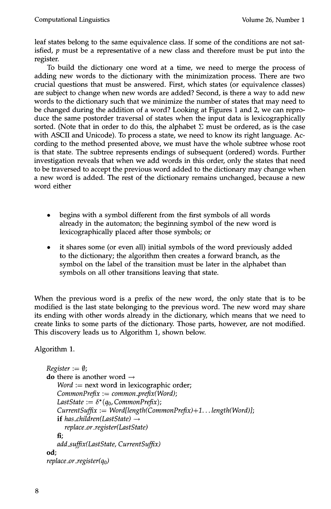leaf states belong to the same equivalence class. If some of the conditions are not satisfied,  $p$  must be a representative of a new class and therefore must be put into the register.

To build the dictionary one word at a time, we need to merge the process of adding new words to the dictionary with the minimization process. There are two crucial questions that must be answered. First, which states (or equivalence classes) are subject to change when new words are added? Second, is there a way to add new words to the dictionary such that we minimize the number of states that may need to be changed during the addition of a word? Looking at Figures 1 and 2, we can reproduce the same postorder traversal of states when the input data is lexicographically sorted. (Note that in order to do this, the alphabet  $\Sigma$  must be ordered, as is the case with ASCII and Unicode). To process a state, we need to know its right language. According to the method presented above, we must have the whole subtree whose root is that state. The subtree represents endings of subsequent (ordered) words. Further investigation reveals that when we add words in this order, only the states that need to be traversed to accept the previous word added to the dictionary may change when a new word is added. The rest of the dictionary remains unchanged, because a new word either

- begins with a symbol different from the first symbols of all words already in the automaton; the beginning symbol of the new word is lexicographically placed after those symbols; or
- it shares some (or even all) initial symbols of the word previously added to the dictionary; the algorithm then creates a forward branch, as the symbol on the label of the transition must be later in the alphabet than symbols on all other transitions leaving that state.

When the previous word is a prefix of the new word, the only state that is to be modified is the last state belonging to the previous word. The new word may share its ending with other words already in the dictionary, which means that we need to create links to some parts of the dictionary. Those parts, however, are not modified. This discovery leads us to Algorithm 1, shown below.

# Algorithm 1.

```

do there is another word \rightarrowWord := next word in lexicographic order;
   CommonPrefix := commonPrefix(Word);LastState := \delta^*(q_0, \textit{CommonPrefix});
   CurrentSuffix := Word[length(CommonPrefix)+ l. . . length(Word)l; 
   if has_children(LastState) \rightarrowreplace ~r_register(Last S tate) 
   fi; 
   add_suffix(LastState, CurrentSuffix) 
od; 
replace_or_register(qo)
```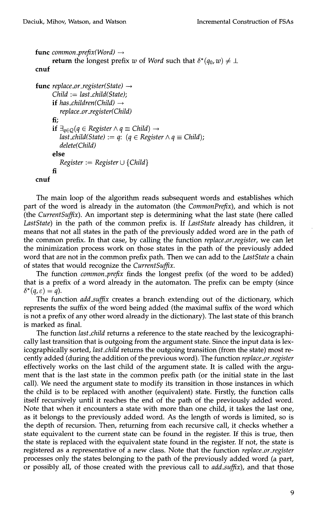```
func common_prefix(Word) 
       return the longest prefix w of Word such that \delta^*(q_0, w) \neq \perpcnuf 
func replace_or_register(State) \rightarrowChild := last_child(State); 
       if has_children(Child) \rightarrowreplace_or_register(Child) 
       fi; 
       if \exists_{a \in O} (q \in Register \land q \equiv Child) \rightarrowlast\_child(State) := q: (q \in Register \land q \equiv Child);delete(Child) 
       else 
          Register := Register U {Child} 
       fi 
cnuf
```
The main loop of the algorithm reads subsequent words and establishes which part of the word is already in the automaton (the *CommonPrefix),* and which is not (the *CurrentSuffix). An* important step is determining what the last state (here called LastState) in the path of the common prefix is. If *LastState* already has children, it means that not all states in the path of the previously added word are in the path of the common prefix. In that case, by calling the function *replace\_or\_register,* we can let the minimization process work on those states in the path of the previously added word that are not in the common prefix path. Then we can add to the *LastState* a chain of states that would recognize the *CurrentSuffix.* 

The function *common\_prefix* finds the longest prefix (of the word to be added) that is a prefix of a word already in the automaton. The prefix can be empty (since  $\delta^*(q,\varepsilon) = q$ .

The function *add\_suffix* creates a branch extending out of the dictionary, which represents the suffix of the word being added (the maximal suffix of the word which is not a prefix of any other word already in the dictionary). The last state of this branch is marked as final.

The function *last\_child* returns a reference to the state reached by the lexicographically last transition that is outgoing from the argument state. Since the input data is lexicographically sorted, *last\_child* returns the outgoing transition (from the state) most recently added (during the addition of the previous word). The function *replace\_or\_register*  effectively works on the last child of the argument state. It is called with the argument that is the last state in the common prefix path (or the initial state in the last call). We need the argument state to modify its transition in those instances in which the child is to be replaced with another (equivalent) state. Firstly, the function calls itself recursively until it reaches the end of the path of the previously added word. Note that when it encounters a state with more than one child, it takes the last one, as it belongs to the previously added word. As the length of words is limited, so is the depth of recursion. Then, returning from each recursive call, it checks whether a state equivalent to the current state can be found in the register. If this is true, then the state is replaced with the equivalent state found in the register. If not, the state is registered as a representative of a new class. Note that the function *replace-or\_register*  processes only the states belonging to the path of the previously added word (a part, or possibly all, of those created with the previous call to *add\_suffix),* and that those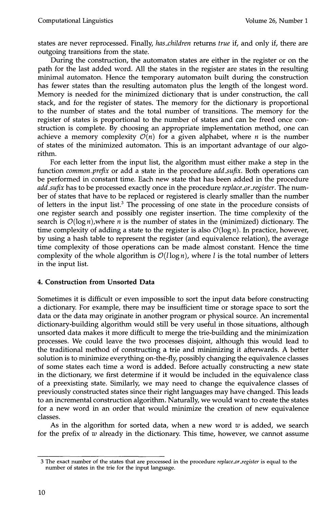states are never reprocessed. Finally, *has\_children* returns *true if,* and only if, there are outgoing transitions from the state.

During the construction, the automaton states are either in the register or on the path for the last added word. All the states in the register are states in the resulting minimal automaton. Hence the temporary automaton built during the construction has fewer states than the resulting automaton plus the length of the longest word. Memory is needed for the minimized dictionary that is under construction, the call stack, and for the register of states. The memory for the dictionary is proportional to the number of states and the total number of transitions. The memory for the register of states is proportional to the number of states and can be freed once construction is complete. By choosing an appropriate implementation method, one can achieve a memory complexity  $\mathcal{O}(n)$  for a given alphabet, where n is the number of states of the minimized automaton. This is an important advantage of our algorithm.

For each letter from the input list, the algorithm must either make a step in the function *common\_prefix* or add a state in the procedure *add\_sufix*. Both operations can be performed in constant time. Each new state that has been added in the procedure *add~ufix* has to be processed exactly once in the procedure *replace\_or\_register. The* number of states that have to be replaced or registered is clearly smaller than the number of letters in the input list. $3$  The processing of one state in the procedure consists of one register search and possibly one register insertion. The time complexity of the search is  $\mathcal{O}(\log n)$ , where *n* is the number of states in the (minimized) dictionary. The time complexity of adding a state to the register is also  $\mathcal{O}(\log n)$ . In practice, however, by using a hash table to represent the register (and equivalence relation), the average time complexity of those operations can be made almost constant. Hence the time complexity of the whole algorithm is  $O(l \log n)$ , where l is the total number of letters in the input list.

## **4. Construction from Unsorted Data**

Sometimes it is difficult or even impossible to sort the input data before constructing a dictionary. For example, there may be insufficient time or storage space to sort the data or the data may originate in another program or physical source. An incremental dictionary-building algorithm would still be very useful in those situations, although unsorted data makes it more difficult to merge the trie-building and the minimization processes. We could leave the two processes disjoint, although this would lead to the traditional method of constructing a trie and minimizing it afterwards. A better solution is to minimize everything on-the-fly, possibly changing the equivalence classes of some states each time a word is added. Before actually constructing a new state in the dictionary, we first determine if it would be included in the equivalence class of a preexisting state. Similarly, we may need to change the equivalence classes of previously constructed states since their right languages may have changed. This leads to an incremental construction algorithm. Naturally, we would want to create the states for a new word in an order that would minimize the creation of new equivalence classes.

As in the algorithm for sorted data, when a new word  $w$  is added, we search for the prefix of  $w$  already in the dictionary. This time, however, we cannot assume

<sup>3</sup> The exact number of the states that are processed in the procedure *replace-or\_register* is equal to the number of states in the trie for the input language.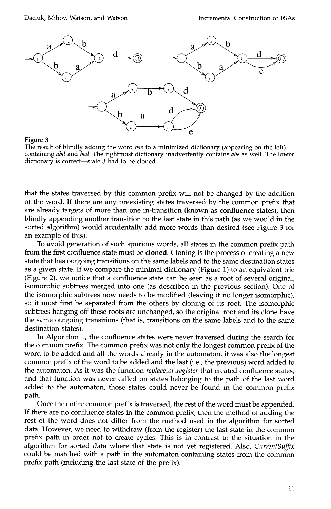

#### **Figure 3**

The result of blindly adding the word *bae* to a minimized dictionary (appearing on the left) containing *abd* and *bad. The* rightmost dictionary inadvertently contains *abe* as well. The lower dictionary is correct--state 3 had to be cloned.

that the states traversed by this common prefix will not be changed by the addition of the word. If there are any preexisting states traversed by the common prefix that are already targets of more than one in-transition (known as confluence states), then blindly appending another transition to the last state in this path (as we would in the sorted algorithm) would accidentally add more words than desired (see Figure 3 for an example of this).

To avoid generation of such spurious words, all states in the common prefix path from the first confluence state must be cloned. Cloning is the process of creating a new state that has outgoing transitions on the same labels and to the same destination states as a given state. If we compare the minimal dictionary (Figure 1) to an equivalent trie (Figure 2), we notice that a confluence state can be seen as a root of several original, isomorphic subtrees merged into one (as described in the previous section). One of the isomorphic subtrees now needs to be modified (leaving it no longer isomorphic), so it must first be separated from the others by cloning of its root. The isomorphic subtrees hanging off these roots are unchanged, so the original root and its clone have the same outgoing transitions (that is, transitions on the same labels and to the same destination states).

In Algorithm 1, the confluence states were never traversed during the search for the common prefix. The common prefix was not only the longest common prefix of the word to be added and all the words already in the automaton, it was also the longest common prefix of the word to be added and the last (i.e., the previous) word added to the automaton. As it was the function *replace\_or\_register* that created confluence states, and that function was never called on states belonging to the path of the last word added to the automaton, those states could never be found in the common prefix path.

Once the entire common prefix is traversed, the rest of the word must be appended. If there are no confluence states in the common prefix, then the method of adding the rest of the word does not differ from the method used in the algorithm for sorted data. However, we need to withdraw (from the register) the last state in the common prefix path in order not to create cycles. This is in contrast to the situation in the algorithm for sorted data where that state is not yet registered. Also, *CurrentSuffix*  could be matched with a path in the automaton containing states from the common prefix path (including the last state of the prefix).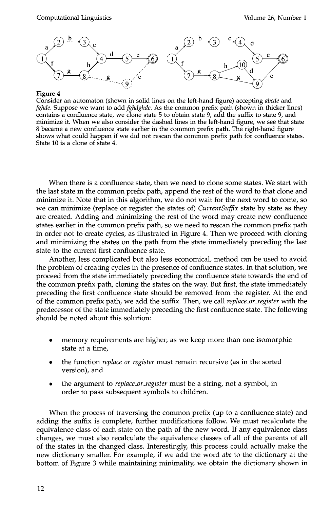

#### **Figure 4**

Consider an automaton (shown in solid lines on the left-hand figure) accepting *abcde* and *fghde.* Suppose we want to add *fghdghde*. As the common prefix path (shown in thicker lines) contains a confluence state, we clone state 5 to obtain state 9, add the suffix to state 9, and minimize it. When we also consider the dashed lines in the left-hand figure, we see that state 8 became a new confluence state earlier in the common prefix path. The right-hand figure shows what could happen if we did not rescan the common prefix path for confluence states. State 10 is a clone of state 4.

When there is a confluence state, then we need to clone some states. We start with the last state in the common prefix path, append the rest of the word to that clone and minimize it. Note that in this algorithm, we do not wait for the next word to come, so we can minimize (replace or register the states of) *CurrentSuffix* state by state as they are created. Adding and minimizing the rest of the word may create new confluence states earlier in the common prefix path, so we need to rescan the common prefix path in order not to create cycles, as illustrated in Figure 4. Then we proceed with cloning and minimizing the states on the path from the state immediately preceding the last state to the current first confluence state.

Another, less complicated but also less economical, method can be used to avoid the problem of creating cycles in the presence of confluence states. In that solution, we proceed from the state immediately preceding the confluence state towards the end of the common prefix path, cloning the states on the way. But first, the state immediately preceding the first confluence state should be removed from the register. At the end of the common prefix path, we add the suffix. Then, we call *replace\_or\_register* with the predecessor of the state immediately preceding the first confluence state. The following should be noted about this solution:

- memory requirements are higher, as we keep more than one isomorphic state at a time,
- the function *replace\_or\_register* must remain recursive (as in the sorted version), and
- the argument to *replace\_or\_register* must be a string, not a symbol, in order to pass subsequent symbols to children.

When the process of traversing the common prefix (up to a confluence state) and adding the suffix is complete, further modifications follow. We must recalculate the equivalence class of each state on the path of the new word. If any equivalence class changes, we must also recalculate the equivalence classes of all of the parents of all of the states in the changed class. Interestingly, this process could actually make the new dictionary smaller. For example, if we add the word *abe* to the dictionary at the bottom of Figure 3 while maintaining minimality, we obtain the dictionary shown in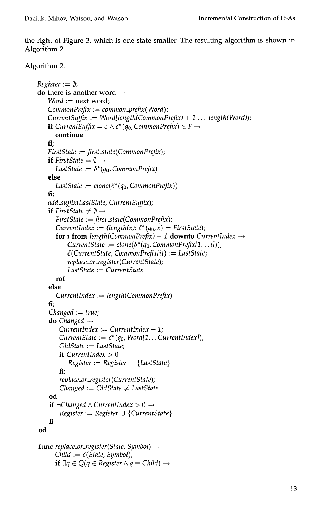the right of Figure 3, which is one state smaller. The resulting algorithm is shown in Algorithm 2.

Algorithm 2.

```

do there is another word \rightarrowWord := next word;
    CommonPrefix := common\_prefix(Word);CurrentSuffix := Word[length(CommonPrefix) + 1 ... length(Word)I; 
    if CurrentSuffix = \varepsilon \wedge \delta^*(q_0, \text{CommonPrefix}) \in F \rightarrowcontinue 
    fi; 
    FirstState := first_state( CommonPrefix); 
    if FirstState = \emptyset \rightarrowLastState := \delta^*(q_0, CommonPrefix)else 
       LastState := clone({\delta^*}(q_0, CommonPrefix))fi; 
    add_suffix(LastState, CurrentSuffix); 
    if FirstState \neq \emptyset \rightarrowFirstState := first~state(CommonPrefix); 
       CurrentIndex := (length(x): \delta^*(q_0, x) = FirstState);for i from length(CommonPrefix) -1 downto CurrentIndex \rightarrowCurrentState := clone(\delta^*(q_0, CommonPrefix[1...i]));
           6( CurrentState, CommonPrefixli]) := LastState; 
           replace_or_register( CurrentState); 
           LastState := CurrentState 
       rof 
    else 
       Currentlndex := length( CommonPrefix) 
    fi; 
    Changed := true; 
    do Changed 
        Currentlndex := Currentlndex - 1; 
        CurrentState := \delta^*(q_0, Word[1...CurrentIndex]);
        OldState := LastState; 
        if CurrentIndex > 0 \rightarrowRegister := Register - {LastState} 
        fi; 
        replace_or_register( CurrentState); 
        Changed := OldState \ne LastStateod 
    if \negChanged \land CurrentIndex > 0 \rightarrowRegister := Register U {CurrentState} 
    fi 
od 
func replace Jar_register(State, Symbol) 
      Child := \delta(State, Symbol);
```
if  $\exists q \in Q (q \in Register \land q \equiv Child) \rightarrow$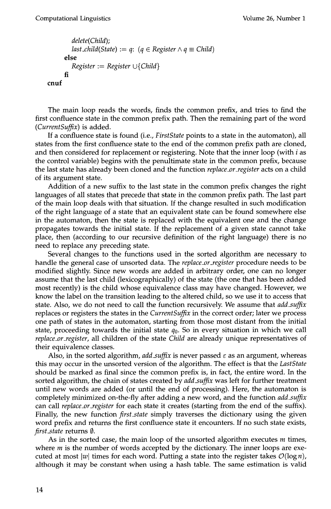```
cnuf 
         delete(Child); 
         last\_child(State) := q: (q \in Register \land q \equiv Child)else 
          Register := Register u{Child} 
       fi
```
The main loop reads the words, finds the common prefix, and tries to find the first confluence state in the common prefix path. Then the remaining part of the word *(CurrentSuffix)* is added.

If a confluence state is found (i.e., *FirstState* points to a state in the automaton), all states from the first confluence state to the end of the common prefix path are cloned, and then considered for replacement or registering. Note that the inner loop (with  $i$  as the control variable) begins with the penultimate state in the common prefix, because the last state has already been cloned and the function *replace\_or\_register* acts on a child of its argument state.

Addition of a new suffix to the last state in the common prefix changes the right languages of all states that precede that state in the common prefix path. The last part of the main loop deals with that situation. If the change resulted in such modification of the right language of a state that an equivalent state can be found somewhere else in the automaton, then the state is replaced with the equivalent one and the change propagates towards the initial state. If the replacement of a given state cannot take place, then (according to our recursive definition of the right language) there is no need to replace any preceding state.

Several changes to the functions used in the sorted algorithm are necessary to handle the general case of unsorted data. The *replace\_or\_register* procedure needs to be modified slightly. Since new words are added in arbitrary order, one can no longer assume that the last child (lexicographically) of the state (the one that has been added most recently) is the child whose equivalence class may have changed. However, we know the label on the transition leading to the altered child, so we use it to access that state. Also, we do not need to call the function recursively. We assume that *add\_suffix* replaces or registers the states in the *CurrentSuffix* in the correct order; later we process one path of states in the automaton, starting from those most distant from the initial state, proceeding towards the initial state  $q_0$ . So in every situation in which we call *replace\_or\_register,* all children of the state *Child* are already unique representatives of their equivalence classes.

Also, in the sorted algorithm, *add suffix* is never passed  $\varepsilon$  as an argument, whereas this may occur in the unsorted version of the algorithm. The effect is that the *LastState*  should be marked as final since the common prefix is, in fact, the entire word. In the sorted algorithm, the chain of states created by *add\_suffix* was left for further treatment until new words are added (or until the end of processing). Here, the automaton is completely minimized on-the-fly after adding a new word, and the function *add\_suffix* can call *replace\_or\_register* for each state it creates (starting from the end of the suffix). Finally, the new function *first\_state* simply traverses the dictionary using the given word prefix and returns the first confluence state it encounters. If no such state exists, *first\_state* returns 0.

As in the sorted case, the main loop of the unsorted algorithm executes  $m$  times, where  $m$  is the number of words accepted by the dictionary. The inner loops are executed at most |w| times for each word. Putting a state into the register takes  $\mathcal{O}(\log n)$ , although it may be constant when using a hash table. The same estimation is valid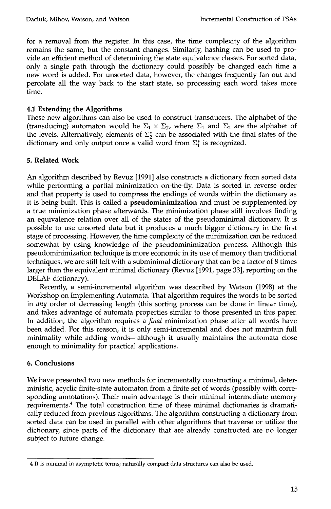for a removal from the register. In this case, the time complexity of the algorithm remains the same, but the constant changes. Similarly, hashing can be used to provide an efficient method of determining the state equivalence classes. For sorted data, only a single path through the dictionary could possibly be changed each time a new word is added. For unsorted data, however, the changes frequently fan out and percolate all the way back to the start state, so processing each word takes more time.

# **4.1 Extending the Algorithms**

These new algorithms can also be used to construct transducers. The alphabet of the (transducing) automaton would be  $\Sigma_1 \times \Sigma_2$ , where  $\Sigma_1$  and  $\Sigma_2$  are the alphabet of the levels. Alternatively, elements of  $\Sigma^*$  can be associated with the final states of the dictionary and only output once a valid word from  $\Sigma_1^*$  is recognized.

# **5. Related Work**

An algorithm described by Revuz [1991] also constructs a dictionary from sorted data while performing a partial minimization on-the-fly. Data is sorted in reverse order and that property is used to compress the endings of words within the dictionary as it is being built. This is called a pseudominimization and must be supplemented by a true minimization phase afterwards. The minimization phase still involves finding an equivalence relation over all of the states of the pseudominimal dictionary. It is possible to use unsorted data but it produces a much bigger dictionary in the first stage of processing. However, the time complexity of the minimization can be reduced somewhat by using knowledge of the pseudominimization process. Although this pseudominimization technique is more economic in its use of memory than traditional techniques, we are still left with a subminimal dictionary that can be a factor of 8 times larger than the equivalent minimal dictionary (Revuz [1991, page 33], reporting on the DELAF dictionary).

Recently, a semi-incremental algorithm was described by Watson (1998) at the Workshop on Implementing Automata. That algorithm requires the words to be sorted *in any* order of decreasing length (this sorting process can be done in linear time), and takes advantage of automata properties similar to those presented in this paper. In addition, the algorithm requires a *final* minimization phase after all words have been added. For this reason, it is only semi-incremental and does not maintain full minimality while adding words--although it usually maintains the automata close enough to minimality for practical applications.

# **6. Conclusions**

We have presented two new methods for incrementally constructing a minimal, deterministic, acyclic finite-state automaton from a finite set of words (possibly with corresponding annotations). Their main advantage is their minimal intermediate memory requirements. 4 The total construction time of these minimal dictionaries is dramatically reduced from previous algorithms. The algorithm constructing a dictionary from sorted data can be used in parallel with other algorithms that traverse or utilize the dictionary, since parts of the dictionary that are already constructed are no longer subject to future change.

<sup>4</sup> It is minimal in asymptotic terms; naturally compact data structures can also be used.